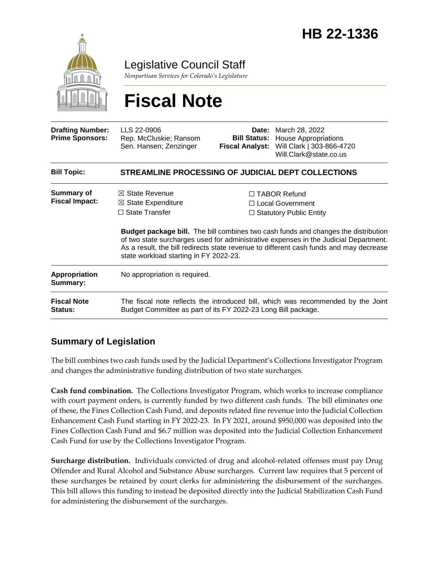

Legislative Council Staff

*Nonpartisan Services for Colorado's Legislature*

# **Fiscal Note**

| <b>Drafting Number:</b><br><b>Prime Sponsors:</b> | LLS 22-0906<br>Rep. McCluskie; Ransom<br>Sen. Hansen; Zenzinger                                                                                                                                                                                                                                                       | <b>Bill Status:</b><br><b>Fiscal Analyst:</b>                                    | <b>Date:</b> March 28, 2022<br><b>House Appropriations</b><br>Will Clark   303-866-4720<br>Will.Clark@state.co.us |
|---------------------------------------------------|-----------------------------------------------------------------------------------------------------------------------------------------------------------------------------------------------------------------------------------------------------------------------------------------------------------------------|----------------------------------------------------------------------------------|-------------------------------------------------------------------------------------------------------------------|
| <b>Bill Topic:</b>                                | STREAMLINE PROCESSING OF JUDICIAL DEPT COLLECTIONS                                                                                                                                                                                                                                                                    |                                                                                  |                                                                                                                   |
| <b>Summary of</b><br><b>Fiscal Impact:</b>        | $\boxtimes$ State Revenue<br>$\boxtimes$ State Expenditure<br>$\Box$ State Transfer                                                                                                                                                                                                                                   | $\Box$ TABOR Refund<br>$\Box$ Local Government<br>$\Box$ Statutory Public Entity |                                                                                                                   |
|                                                   | <b>Budget package bill.</b> The bill combines two cash funds and changes the distribution<br>of two state surcharges used for administrative expenses in the Judicial Department.<br>As a result, the bill redirects state revenue to different cash funds and may decrease<br>state workload starting in FY 2022-23. |                                                                                  |                                                                                                                   |
| Appropriation<br>Summary:                         | No appropriation is required.                                                                                                                                                                                                                                                                                         |                                                                                  |                                                                                                                   |
| <b>Fiscal Note</b><br><b>Status:</b>              | The fiscal note reflects the introduced bill, which was recommended by the Joint<br>Budget Committee as part of its FY 2022-23 Long Bill package.                                                                                                                                                                     |                                                                                  |                                                                                                                   |

### **Summary of Legislation**

The bill combines two cash funds used by the Judicial Department's Collections Investigator Program and changes the administrative funding distribution of two state surcharges.

**Cash fund combination.** The Collections Investigator Program, which works to increase compliance with court payment orders, is currently funded by two different cash funds. The bill eliminates one of these, the Fines Collection Cash Fund, and deposits related fine revenue into the Judicial Collection Enhancement Cash Fund starting in FY 2022-23. In FY 2021, around \$950,000 was deposited into the Fines Collection Cash Fund and \$6.7 million was deposited into the Judicial Collection Enhancement Cash Fund for use by the Collections Investigator Program.

**Surcharge distribution.** Individuals convicted of drug and alcohol-related offenses must pay Drug Offender and Rural Alcohol and Substance Abuse surcharges. Current law requires that 5 percent of these surcharges be retained by court clerks for administering the disbursement of the surcharges. This bill allows this funding to instead be deposited directly into the Judicial Stabilization Cash Fund for administering the disbursement of the surcharges.